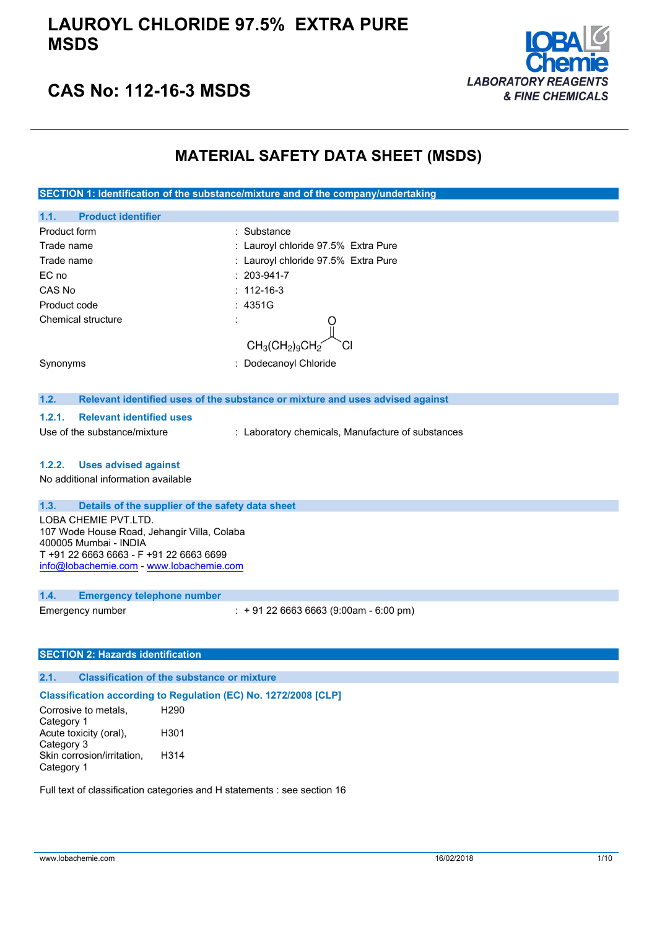### **LAUROYL CHLORIDE 97.5% EXTRA PURE MSDS**



### **CAS No: 112-16-3 MSDS**

### **MATERIAL SAFETY DATA SHEET (MSDS)**

**SECTION 1: Identification of the substance/mixture and of the company/undertaking**

| 1.1.<br><b>Product identifier</b>                                                            |                                                                               |  |
|----------------------------------------------------------------------------------------------|-------------------------------------------------------------------------------|--|
| Product form                                                                                 | : Substance                                                                   |  |
| Trade name                                                                                   | : Lauroyl chloride 97.5% Extra Pure                                           |  |
| Trade name                                                                                   | : Lauroyl chloride 97.5% Extra Pure                                           |  |
| EC no                                                                                        | $: 203 - 941 - 7$                                                             |  |
| CAS No                                                                                       | $: 112 - 16 - 3$                                                              |  |
| Product code                                                                                 | : 4351G                                                                       |  |
| <b>Chemical structure</b>                                                                    |                                                                               |  |
|                                                                                              | $CH_3CH_2)_9CH_2$                                                             |  |
| Synonyms                                                                                     | Dodecanoyl Chloride                                                           |  |
|                                                                                              |                                                                               |  |
| 1.2.                                                                                         | Relevant identified uses of the substance or mixture and uses advised against |  |
| <b>Relevant identified uses</b><br>1.2.1.                                                    |                                                                               |  |
| Use of the substance/mixture                                                                 | : Laboratory chemicals, Manufacture of substances                             |  |
| 1.2.2.<br><b>Uses advised against</b>                                                        |                                                                               |  |
| No additional information available                                                          |                                                                               |  |
|                                                                                              |                                                                               |  |
| 1.3.<br>Details of the supplier of the safety data sheet                                     |                                                                               |  |
| LOBA CHEMIE PVT.LTD.<br>107 Wode House Road, Jehangir Villa, Colaba<br>400005 Mumbai - INDIA |                                                                               |  |
| T +91 22 6663 6663 - F +91 22 6663 6699<br>info@lobachemie.com - www.lobachemie.com          |                                                                               |  |
|                                                                                              |                                                                               |  |
| 1.4.<br><b>Emergency telephone number</b>                                                    |                                                                               |  |
| Emergency number                                                                             | $: +912266636663(9:00am - 6:00 pm)$                                           |  |

#### **SECTION 2: Hazards identification**

#### **2.1. Classification of the substance or mixture**

#### **Classification according to Regulation (EC) No. 1272/2008 [CLP]**

Corrosive to metals, Category 1 H290 Acute toxicity (oral), Category 3 H301 Skin corrosion/irritation, Category 1 H314

Full text of classification categories and H statements : see section 16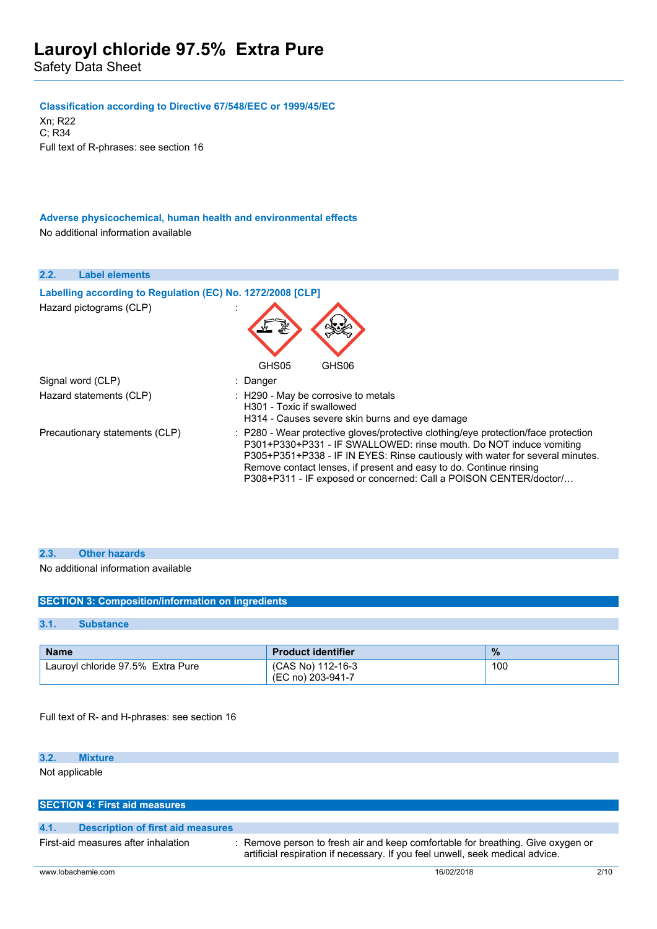#### **Classification according to Directive 67/548/EEC or 1999/45/EC**

Xn; R22 C; R34 Full text of R-phrases: see section 16

**Adverse physicochemical, human health and environmental effects** No additional information available

| <b>Label elements</b><br>2.2.                              |                                                                                                                                                                                                                                                                                                                                                                                      |
|------------------------------------------------------------|--------------------------------------------------------------------------------------------------------------------------------------------------------------------------------------------------------------------------------------------------------------------------------------------------------------------------------------------------------------------------------------|
| Labelling according to Regulation (EC) No. 1272/2008 [CLP] |                                                                                                                                                                                                                                                                                                                                                                                      |
| Hazard pictograms (CLP)                                    | GHS05<br>GHS06                                                                                                                                                                                                                                                                                                                                                                       |
| Signal word (CLP)                                          | : Danger                                                                                                                                                                                                                                                                                                                                                                             |
| Hazard statements (CLP)                                    | : H290 - May be corrosive to metals<br>H301 - Toxic if swallowed<br>H314 - Causes severe skin burns and eye damage                                                                                                                                                                                                                                                                   |
| Precautionary statements (CLP)                             | : P280 - Wear protective gloves/protective clothing/eye protection/face protection<br>P301+P330+P331 - IF SWALLOWED: rinse mouth. Do NOT induce vomiting<br>P305+P351+P338 - IF IN EYES: Rinse cautiously with water for several minutes.<br>Remove contact lenses, if present and easy to do. Continue rinsing<br>P308+P311 - IF exposed or concerned: Call a POISON CENTER/doctor/ |

#### **2.3. Other hazards**

No additional information available

#### **SECTION 3: Composition/information on ingredients**

#### **3.1. Substance**

| <b>Name</b>                       | <b>Product identifier</b>              | $\frac{9}{6}$ |
|-----------------------------------|----------------------------------------|---------------|
| Lauroyl chloride 97.5% Extra Pure | (CAS No) 112-16-3<br>(EC no) 203-941-7 | 100           |

Full text of R- and H-phrases: see section 16

### **3.2. Mixture**

Not applicable

### **SECTION 4: First aid measures**

#### **4.1. Description of first aid measures**

First-aid measures after inhalation : Remove person to fresh air and keep comfortable for breathing. Give oxygen or artificial respiration if necessary. If you feel unwell, seek medical advice.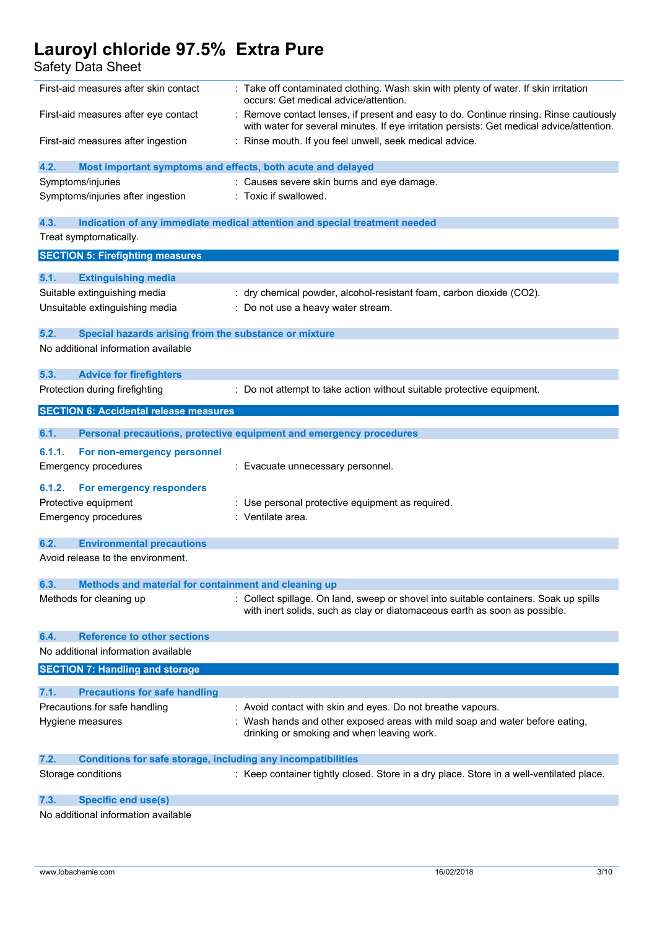| הטהוש ההמים והטסו                                                           |                                                                                                                                                                                   |
|-----------------------------------------------------------------------------|-----------------------------------------------------------------------------------------------------------------------------------------------------------------------------------|
| First-aid measures after skin contact                                       | : Take off contaminated clothing. Wash skin with plenty of water. If skin irritation<br>occurs: Get medical advice/attention.                                                     |
| First-aid measures after eye contact                                        | Remove contact lenses, if present and easy to do. Continue rinsing. Rinse cautiously<br>with water for several minutes. If eye irritation persists: Get medical advice/attention. |
| First-aid measures after ingestion                                          | : Rinse mouth. If you feel unwell, seek medical advice.                                                                                                                           |
| 4.2.<br>Most important symptoms and effects, both acute and delayed         |                                                                                                                                                                                   |
| Symptoms/injuries                                                           | : Causes severe skin burns and eye damage.                                                                                                                                        |
| Symptoms/injuries after ingestion                                           | : Toxic if swallowed.                                                                                                                                                             |
| 4.3.                                                                        | Indication of any immediate medical attention and special treatment needed                                                                                                        |
| Treat symptomatically.                                                      |                                                                                                                                                                                   |
| <b>SECTION 5: Firefighting measures</b>                                     |                                                                                                                                                                                   |
| 5.1.<br><b>Extinguishing media</b>                                          |                                                                                                                                                                                   |
| Suitable extinguishing media                                                | : dry chemical powder, alcohol-resistant foam, carbon dioxide (CO2).                                                                                                              |
| Unsuitable extinguishing media                                              | Do not use a heavy water stream.                                                                                                                                                  |
| 5.2.<br>Special hazards arising from the substance or mixture               |                                                                                                                                                                                   |
| No additional information available                                         |                                                                                                                                                                                   |
| 5.3.<br><b>Advice for firefighters</b>                                      |                                                                                                                                                                                   |
| Protection during firefighting                                              | : Do not attempt to take action without suitable protective equipment.                                                                                                            |
| <b>SECTION 6: Accidental release measures</b>                               |                                                                                                                                                                                   |
| 6.1.                                                                        | Personal precautions, protective equipment and emergency procedures                                                                                                               |
| 6.1.1.<br>For non-emergency personnel                                       |                                                                                                                                                                                   |
| <b>Emergency procedures</b>                                                 | : Evacuate unnecessary personnel.                                                                                                                                                 |
| 6.1.2.<br>For emergency responders                                          |                                                                                                                                                                                   |
| Protective equipment                                                        | : Use personal protective equipment as required.                                                                                                                                  |
| <b>Emergency procedures</b>                                                 | : Ventilate area.                                                                                                                                                                 |
| 6.2.<br><b>Environmental precautions</b>                                    |                                                                                                                                                                                   |
| Avoid release to the environment.                                           |                                                                                                                                                                                   |
| Methods and material for containment and cleaning up<br>6.3.                |                                                                                                                                                                                   |
| Methods for cleaning up                                                     | : Collect spillage. On land, sweep or shovel into suitable containers. Soak up spills<br>with inert solids, such as clay or diatomaceous earth as soon as possible.               |
| <b>Reference to other sections</b><br>6.4.                                  |                                                                                                                                                                                   |
| No additional information available                                         |                                                                                                                                                                                   |
| <b>SECTION 7: Handling and storage</b>                                      |                                                                                                                                                                                   |
| 7.1.<br><b>Precautions for safe handling</b>                                |                                                                                                                                                                                   |
| Precautions for safe handling                                               | : Avoid contact with skin and eyes. Do not breathe vapours.                                                                                                                       |
| Hygiene measures                                                            | : Wash hands and other exposed areas with mild soap and water before eating,<br>drinking or smoking and when leaving work.                                                        |
| 7.2.<br><b>Conditions for safe storage, including any incompatibilities</b> |                                                                                                                                                                                   |
| Storage conditions                                                          | : Keep container tightly closed. Store in a dry place. Store in a well-ventilated place.                                                                                          |
| <b>Specific end use(s)</b><br>7.3.                                          |                                                                                                                                                                                   |
| No additional information available                                         |                                                                                                                                                                                   |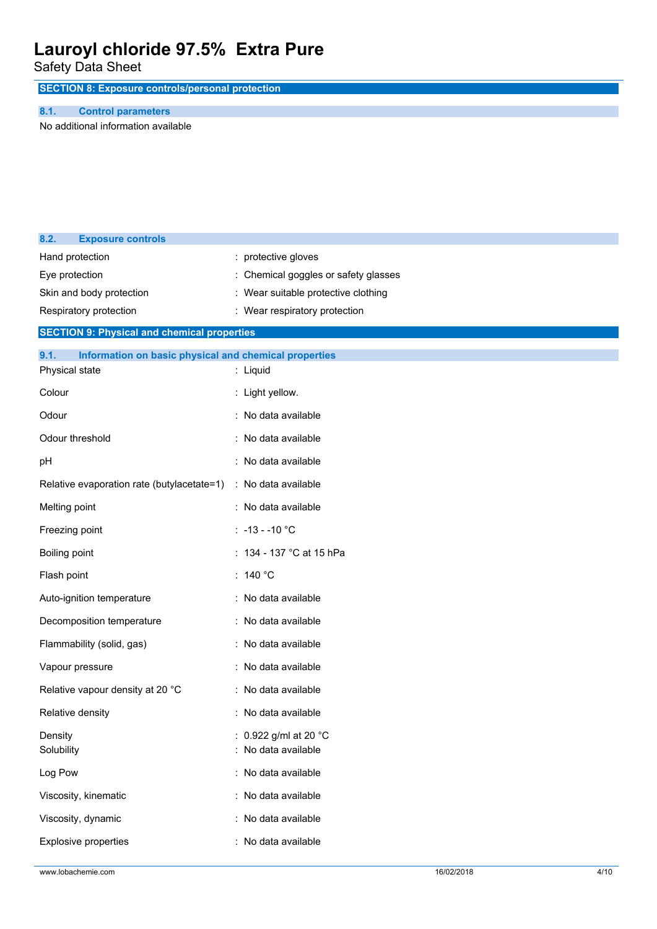Safety Data Sheet

**SECTION 8: Exposure controls/personal protection**

#### **8.1. Control parameters**

No additional information available

| 8.2.                     | <b>Exposure controls</b>                              |                                     |
|--------------------------|-------------------------------------------------------|-------------------------------------|
|                          | Hand protection                                       | : protective gloves                 |
|                          | Eye protection                                        | Chemical goggles or safety glasses  |
| Skin and body protection |                                                       | : Wear suitable protective clothing |
|                          | Respiratory protection                                | : Wear respiratory protection       |
|                          | <b>SECTION 9: Physical and chemical properties</b>    |                                     |
| 9.1.                     | Information on basic physical and chemical properties |                                     |
|                          | Physical state                                        | : Liquid                            |
| Colour                   |                                                       | : Light yellow.                     |
| Odour                    |                                                       | : No data available                 |
|                          | Odour threshold                                       | : No data available                 |
| pH                       |                                                       | : No data available                 |
|                          | Relative evaporation rate (butylacetate=1)            | : No data available                 |
| Melting point            |                                                       | : No data available                 |
|                          | Freezing point                                        | : $-13 - 10$ °C                     |
| Boiling point            |                                                       | : 134 - 137 °C at 15 hPa            |
| Flash point              |                                                       | : 140 $^{\circ}$ C                  |
|                          | Auto-ignition temperature                             | : No data available                 |
|                          | Decomposition temperature                             | : No data available                 |
|                          | Flammability (solid, gas)                             | : No data available                 |
|                          | Vapour pressure                                       | : No data available                 |
|                          | Relative vapour density at 20 °C                      | : No data available                 |
|                          | Relative density                                      | : No data available                 |
| Density                  |                                                       | : 0.922 g/ml at 20 °C               |
| Solubility               |                                                       | : No data available                 |
| Log Pow                  |                                                       | : No data available                 |
|                          | Viscosity, kinematic                                  | : No data available                 |
|                          | Viscosity, dynamic                                    | : No data available                 |
|                          | Explosive properties                                  | : No data available                 |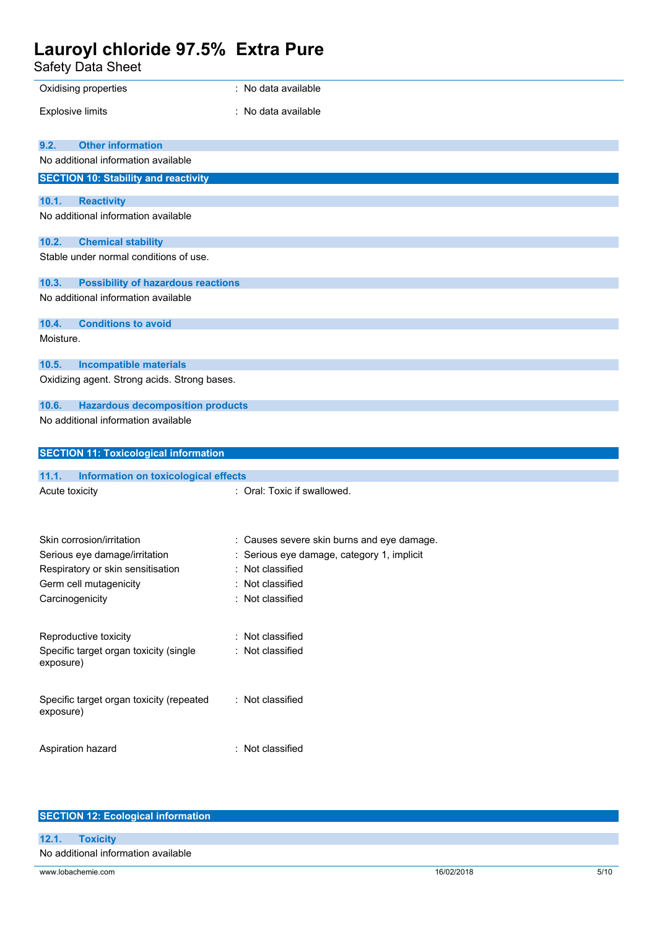| Safety Data Sheet                                     |                                            |
|-------------------------------------------------------|--------------------------------------------|
| Oxidising properties                                  | : No data available                        |
| <b>Explosive limits</b>                               | : No data available                        |
| <b>Other information</b><br>9.2.                      |                                            |
| No additional information available                   |                                            |
| <b>SECTION 10: Stability and reactivity</b>           |                                            |
| 10.1.<br><b>Reactivity</b>                            |                                            |
| No additional information available                   |                                            |
| 10.2.<br><b>Chemical stability</b>                    |                                            |
| Stable under normal conditions of use.                |                                            |
| 10.3.<br><b>Possibility of hazardous reactions</b>    |                                            |
| No additional information available                   |                                            |
| 10.4.<br><b>Conditions to avoid</b>                   |                                            |
| Moisture.                                             |                                            |
| 10.5.<br><b>Incompatible materials</b>                |                                            |
| Oxidizing agent. Strong acids. Strong bases.          |                                            |
| 10.6.<br><b>Hazardous decomposition products</b>      |                                            |
| No additional information available                   |                                            |
|                                                       |                                            |
| <b>SECTION 11: Toxicological information</b>          |                                            |
| 11.1.<br>Information on toxicological effects         |                                            |
| Acute toxicity                                        | : Oral: Toxic if swallowed.                |
|                                                       |                                            |
| Skin corrosion/irritation                             | Causes severe skin burns and eye damage.   |
| Serious eye damage/irritation                         | : Serious eye damage, category 1, implicit |
| Respiratory or skin sensitisation                     | Not classified<br>: Not classified         |
| Germ cell mutagenicity<br>Carcinogenicity             | : Not classified                           |
|                                                       |                                            |
|                                                       |                                            |
| Reproductive toxicity                                 | Not classified                             |
| Specific target organ toxicity (single<br>exposure)   | Not classified                             |
| Specific target organ toxicity (repeated<br>exposure) | : Not classified                           |

| <b>SECTION 12: Ecological information</b> |            |      |
|-------------------------------------------|------------|------|
| 12.1.<br><b>Toxicity</b>                  |            |      |
| No additional information available       |            |      |
| www.lobachemie.com                        | 16/02/2018 | 5/10 |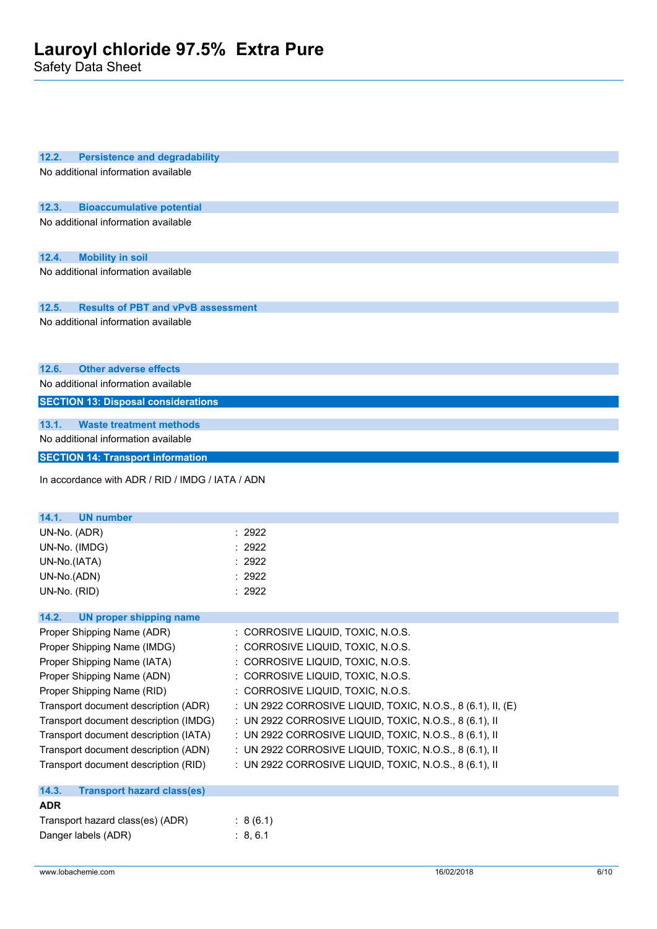| 12.2.<br><b>Persistence and degradability</b>                                |                                                                                                                  |
|------------------------------------------------------------------------------|------------------------------------------------------------------------------------------------------------------|
| No additional information available                                          |                                                                                                                  |
| 12.3.<br><b>Bioaccumulative potential</b>                                    |                                                                                                                  |
| No additional information available                                          |                                                                                                                  |
| 12.4.<br><b>Mobility in soil</b>                                             |                                                                                                                  |
| No additional information available                                          |                                                                                                                  |
| 12.5.<br><b>Results of PBT and vPvB assessment</b>                           |                                                                                                                  |
| No additional information available                                          |                                                                                                                  |
| <b>Other adverse effects</b><br>12.6.                                        |                                                                                                                  |
| No additional information available                                          |                                                                                                                  |
| <b>SECTION 13: Disposal considerations</b>                                   |                                                                                                                  |
| 13.1.<br><b>Waste treatment methods</b>                                      |                                                                                                                  |
| No additional information available                                          |                                                                                                                  |
| <b>SECTION 14: Transport information</b>                                     |                                                                                                                  |
| In accordance with ADR / RID / IMDG / IATA / ADN                             |                                                                                                                  |
| 14.1.<br><b>UN number</b>                                                    |                                                                                                                  |
| UN-No. (ADR)                                                                 | 2922                                                                                                             |
| UN-No. (IMDG)                                                                | : 2922                                                                                                           |
| UN-No.(IATA)                                                                 | 2922                                                                                                             |
| UN-No.(ADN)                                                                  | 2922                                                                                                             |
| UN-No. (RID)                                                                 | : 2922                                                                                                           |
| 14.2.<br><b>UN proper shipping name</b>                                      |                                                                                                                  |
| Proper Shipping Name (ADR)                                                   | CORROSIVE LIQUID, TOXIC, N.O.S.                                                                                  |
| Proper Shipping Name (IMDG)                                                  | CORROSIVE LIQUID, TOXIC, N.O.S.                                                                                  |
| Proper Shipping Name (IATA)                                                  | : CORROSIVE LIQUID, TOXIC, N.O.S.                                                                                |
| Proper Shipping Name (ADN)                                                   | : CORROSIVE LIQUID, TOXIC, N.O.S.                                                                                |
| Proper Shipping Name (RID)                                                   | : CORROSIVE LIQUID, TOXIC, N.O.S.                                                                                |
| Transport document description (ADR)                                         | : UN 2922 CORROSIVE LIQUID, TOXIC, N.O.S., 8 (6.1), II, (E)                                                      |
| Transport document description (IMDG)                                        | : UN 2922 CORROSIVE LIQUID, TOXIC, N.O.S., 8 (6.1), II                                                           |
| Transport document description (IATA)                                        | : UN 2922 CORROSIVE LIQUID, TOXIC, N.O.S., 8 (6.1), II                                                           |
| Transport document description (ADN)<br>Transport document description (RID) | : UN 2922 CORROSIVE LIQUID, TOXIC, N.O.S., 8 (6.1), II<br>: UN 2922 CORROSIVE LIQUID, TOXIC, N.O.S., 8 (6.1), II |
| 14.3.<br><b>Transport hazard class(es)</b>                                   |                                                                                                                  |
| <b>ADR</b>                                                                   |                                                                                                                  |
| Transport hazard class(es) (ADR)                                             | : 8(6.1)                                                                                                         |
| Danger labels (ADR)                                                          | : 8, 6.1                                                                                                         |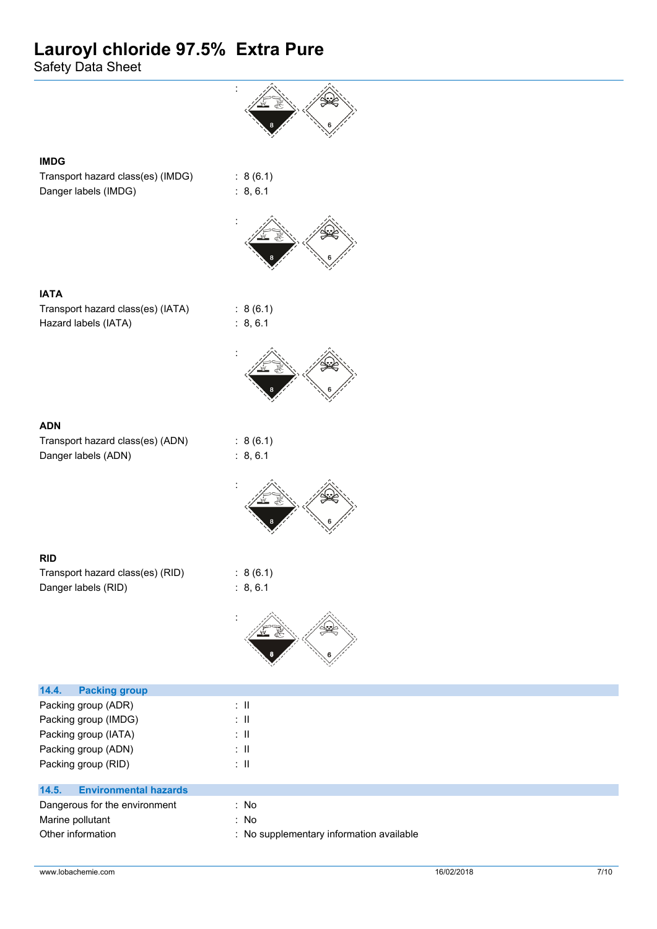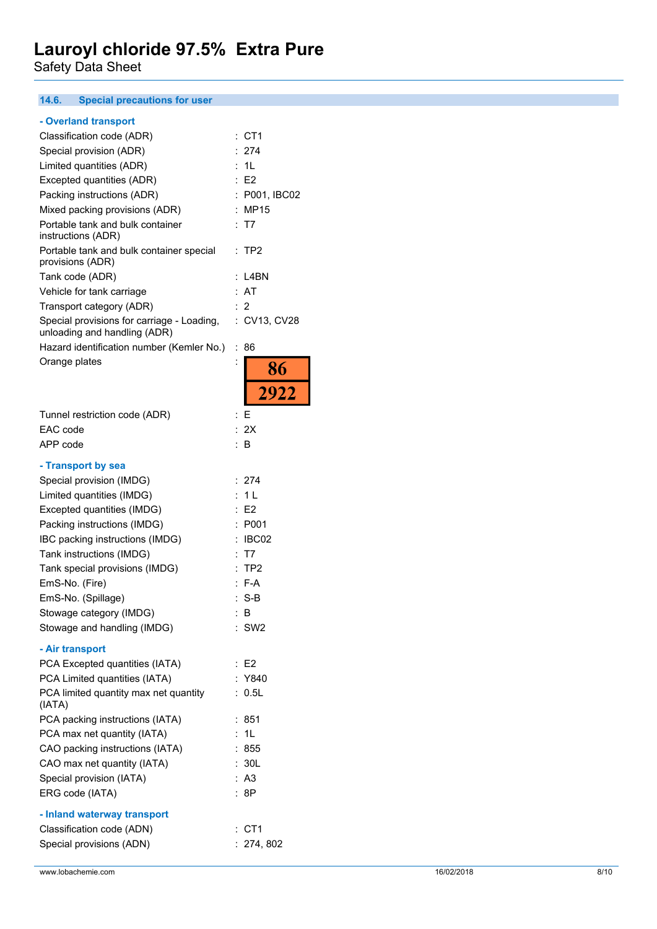#### $14.6.$ **14.6. Special precautions for user**

|  | - Overland transport |  |
|--|----------------------|--|
|  |                      |  |

| - Overiand transport                                                       |                            |
|----------------------------------------------------------------------------|----------------------------|
| Classification code (ADR)                                                  | CT <sub>1</sub><br>:       |
| Special provision (ADR)                                                    | 274                        |
| Limited quantities (ADR)                                                   | 1L                         |
| Excepted quantities (ADR)                                                  | : E2                       |
| Packing instructions (ADR)                                                 | P001, IBC02                |
|                                                                            |                            |
| Mixed packing provisions (ADR)                                             | <b>MP15</b>                |
| Portable tank and bulk container<br>instructions (ADR)                     | : T7                       |
| Portable tank and bulk container special<br>provisions (ADR)               | : TP2                      |
| Tank code (ADR)                                                            | L4BN                       |
| Vehicle for tank carriage                                                  | AT                         |
| Transport category (ADR)                                                   | 2                          |
| Special provisions for carriage - Loading,<br>unloading and handling (ADR) | CV13, CV28<br>t.           |
| Hazard identification number (Kemler No.)                                  | ÷<br>86                    |
| Orange plates                                                              | $\ddot{\phantom{0}}$       |
|                                                                            | 86                         |
|                                                                            | 2922                       |
| Tunnel restriction code (ADR)                                              | Ε<br>÷                     |
| EAC code                                                                   | : 2X                       |
| APP code                                                                   | t.<br>В                    |
|                                                                            |                            |
| - Transport by sea                                                         |                            |
| Special provision (IMDG)                                                   | 274<br>:                   |
| Limited quantities (IMDG)                                                  | 1 <sub>L</sub>             |
| Excepted quantities (IMDG)                                                 | E <sub>2</sub>             |
| Packing instructions (IMDG)                                                | P001                       |
| IBC packing instructions (IMDG)                                            | IBC02                      |
|                                                                            |                            |
| Tank instructions (IMDG)                                                   | T7                         |
| Tank special provisions (IMDG)                                             | $\cdot$<br>TP <sub>2</sub> |
| EmS-No. (Fire)                                                             | F-A                        |
| EmS-No. (Spillage)                                                         | $S-B$                      |
| Stowage category (IMDG)                                                    | В                          |
| Stowage and handling (IMDG)                                                | $:$ SW2                    |
| - Air transport                                                            |                            |
| PCA Excepted quantities (IATA)                                             | : E2                       |
| PCA Limited quantities (IATA)                                              | : Y840                     |
| PCA limited quantity max net quantity<br>(IATA)                            | : 0.5L                     |
| PCA packing instructions (IATA)                                            | : 851                      |
| PCA max net quantity (IATA)                                                | : 1L                       |
| CAO packing instructions (IATA)                                            | : 855                      |
| CAO max net quantity (IATA)                                                | : 30L                      |
|                                                                            |                            |
| Special provision (IATA)                                                   | : A3                       |
| ERG code (IATA)                                                            | :8P                        |
| - Inland waterway transport                                                |                            |
| Classification code (ADN)                                                  | $:$ CT1                    |
| Special provisions (ADN)                                                   | : 274, 802                 |
|                                                                            |                            |
|                                                                            |                            |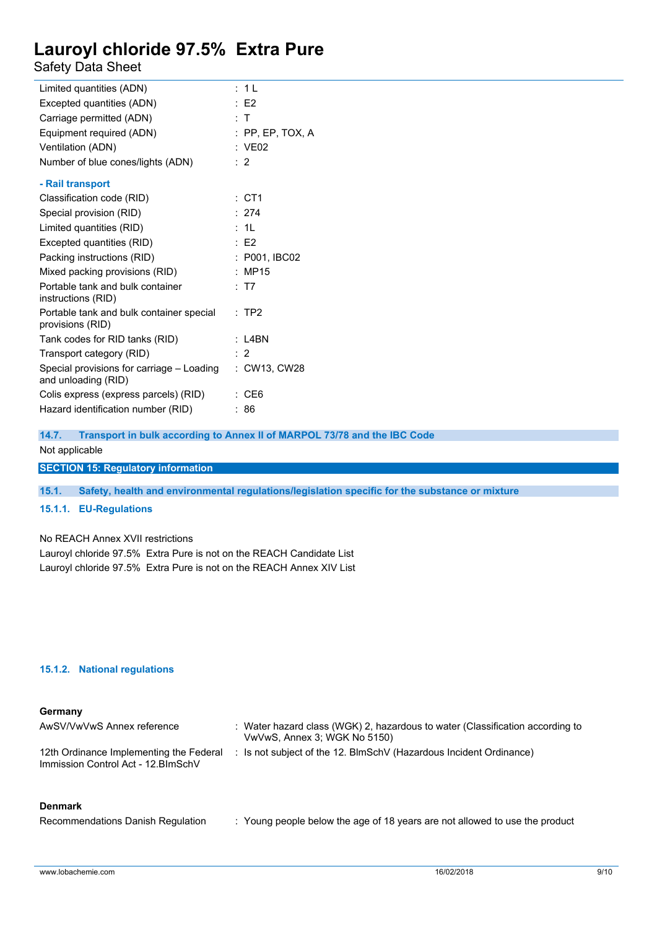### Safety Data Sheet

| Limited quantities (ADN)                                         | : 1 L           |
|------------------------------------------------------------------|-----------------|
| Excepted quantities (ADN)                                        | E2              |
| Carriage permitted (ADN)                                         | : T             |
| Equipment required (ADN)                                         | :PP, EP, TOX, A |
| Ventilation (ADN)                                                | : VE02          |
| Number of blue cones/lights (ADN)                                | : 2             |
| - Rail transport                                                 |                 |
| Classification code (RID)                                        | : CT1           |
| Special provision (RID)                                          | : 274           |
| Limited quantities (RID)                                         | : 11            |
| Excepted quantities (RID)                                        | $E$ F2          |
| Packing instructions (RID)                                       | : P001, IBC02   |
| Mixed packing provisions (RID)                                   | <b>MP15</b>     |
| Portable tank and bulk container<br>instructions (RID)           | : T7            |
| Portable tank and bulk container special<br>provisions (RID)     | $:$ TP2         |
| Tank codes for RID tanks (RID)                                   | L4BN            |
| Transport category (RID)                                         | $\cdot$ 2       |
| Special provisions for carriage - Loading<br>and unloading (RID) | : CW13, CW28    |
| Colis express (express parcels) (RID)                            | CE <sub>6</sub> |
| Hazard identification number (RID)                               | 86              |

**14.7. Transport in bulk according to Annex II of MARPOL 73/78 and the IBC Code**

#### Not applicable

**SECTION 15: Regulatory information**

**15.1. Safety, health and environmental regulations/legislation specific for the substance or mixture**

#### **15.1.1. EU-Regulations**

No REACH Annex XVII restrictions

Lauroyl chloride 97.5% Extra Pure is not on the REACH Candidate List Lauroyl chloride 97.5% Extra Pure is not on the REACH Annex XIV List

#### **15.1.2. National regulations**

#### **Germany**

| AwSV/VwVwS Annex reference                                                     | : Water hazard class (WGK) 2, hazardous to water (Classification according to<br>VwVwS, Annex 3; WGK No 5150) |
|--------------------------------------------------------------------------------|---------------------------------------------------------------------------------------------------------------|
| 12th Ordinance Implementing the Federal<br>Immission Control Act - 12. BlmSchV | : Is not subject of the 12. BlmSchV (Hazardous Incident Ordinance)                                            |

#### **Denmark**

Recommendations Danish Regulation : Young people below the age of 18 years are not allowed to use the product